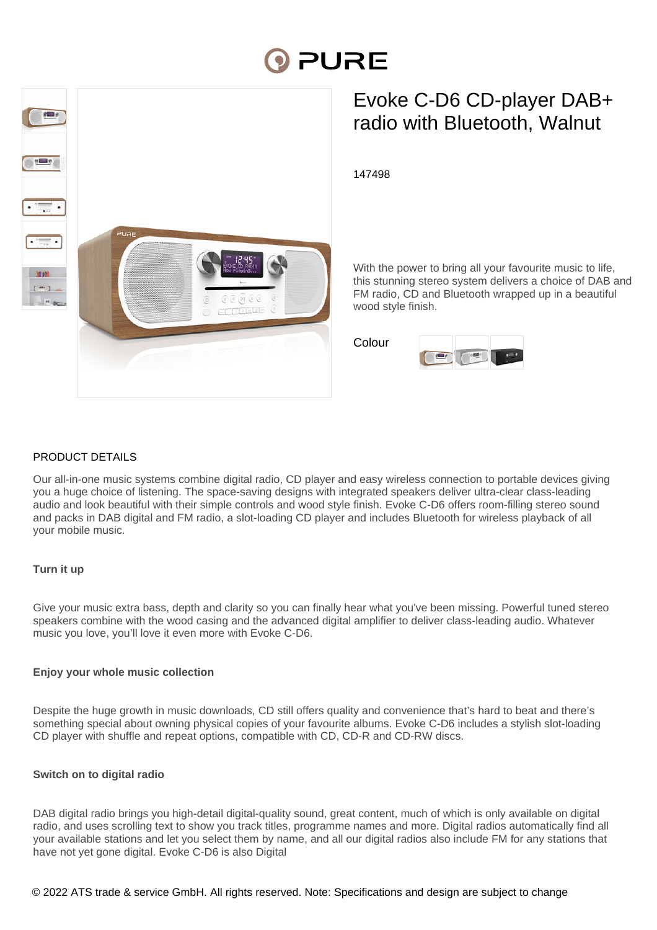# **DI PURE**



# Evoke C-D6 CD-player DAB+ radio with Bluetooth, Walnut

147498

With the power to bring all your favourite music to life, this stunning stereo system delivers a choice of DAB and FM radio, CD and Bluetooth wrapped up in a beautiful wood style finish.

Colour



# PRODUCT DETAILS

Our all-in-one music systems combine digital radio, CD player and easy wireless connection to portable devices giving you a huge choice of listening. The space-saving designs with integrated speakers deliver ultra-clear class-leading audio and look beautiful with their simple controls and wood style finish. Evoke C-D6 offers room-filling stereo sound and packs in DAB digital and FM radio, a slot-loading CD player and includes Bluetooth for wireless playback of all your mobile music.

# **Turn it up**

Give your music extra bass, depth and clarity so you can finally hear what you've been missing. Powerful tuned stereo speakers combine with the wood casing and the advanced digital amplifier to deliver class-leading audio. Whatever music you love, you'll love it even more with Evoke C-D6.

# **Enjoy your whole music collection**

Despite the huge growth in music downloads, CD still offers quality and convenience that's hard to beat and there's something special about owning physical copies of your favourite albums. Evoke C-D6 includes a stylish slot-loading CD player with shuffle and repeat options, compatible with CD, CD-R and CD-RW discs.

# **Switch on to digital radio**

DAB digital radio brings you high-detail digital-quality sound, great content, much of which is only available on digital radio, and uses scrolling text to show you track titles, programme names and more. Digital radios automatically find all your available stations and let you select them by name, and all our digital radios also include FM for any stations that have not yet gone digital. Evoke C-D6 is also Digital